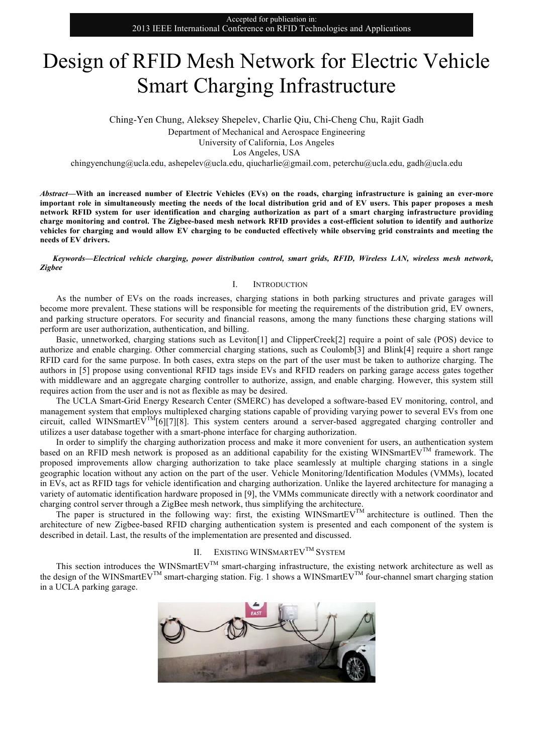# Design of RFID Mesh Network for Electric Vehicle Smart Charging Infrastructure

Ching-Yen Chung, Aleksey Shepelev, Charlie Qiu, Chi-Cheng Chu, Rajit Gadh

Department of Mechanical and Aerospace Engineering

University of California, Los Angeles

Los Angeles, USA

chingyenchung@ucla.edu, ashepeley@ucla.edu, qiucharlie@gmail.com, peterchu@ucla.edu, gadh@ucla.edu

*Abstract***—With an increased number of Electric Vehicles (EVs) on the roads, charging infrastructure is gaining an ever-more important role in simultaneously meeting the needs of the local distribution grid and of EV users. This paper proposes a mesh network RFID system for user identification and charging authorization as part of a smart charging infrastructure providing charge monitoring and control. The Zigbee-based mesh network RFID provides a cost-efficient solution to identify and authorize vehicles for charging and would allow EV charging to be conducted effectively while observing grid constraints and meeting the needs of EV drivers.**

*Keywords—Electrical vehicle charging, power distribution control, smart grids, RFID, Wireless LAN, wireless mesh network, Zigbee*

## I. INTRODUCTION

As the number of EVs on the roads increases, charging stations in both parking structures and private garages will become more prevalent. These stations will be responsible for meeting the requirements of the distribution grid, EV owners, and parking structure operators. For security and financial reasons, among the many functions these charging stations will perform are user authorization, authentication, and billing.

Basic, unnetworked, charging stations such as Leviton[1] and ClipperCreek[2] require a point of sale (POS) device to authorize and enable charging. Other commercial charging stations, such as Coulomb[3] and Blink[4] require a short range RFID card for the same purpose. In both cases, extra steps on the part of the user must be taken to authorize charging. The authors in [5] propose using conventional RFID tags inside EVs and RFID readers on parking garage access gates together with middleware and an aggregate charging controller to authorize, assign, and enable charging. However, this system still requires action from the user and is not as flexible as may be desired.

The UCLA Smart-Grid Energy Research Center (SMERC) has developed a software-based EV monitoring, control, and management system that employs multiplexed charging stations capable of providing varying power to several EVs from one circuit, called WINSmartEV<sup>TM</sup>[6][7][8]. This system centers around a server-based aggregated charging controller and utilizes a user database together with a smart-phone interface for charging authorization.

In order to simplify the charging authorization process and make it more convenient for users, an authentication system based on an RFID mesh network is proposed as an additional capability for the existing WINSmartEV<sup>TM</sup> framework. The proposed improvements allow charging authorization to take place seamlessly at multiple charging stations in a single geographic location without any action on the part of the user. Vehicle Monitoring/Identification Modules (VMMs), located in EVs, act as RFID tags for vehicle identification and charging authorization. Unlike the layered architecture for managing a variety of automatic identification hardware proposed in [9], the VMMs communicate directly with a network coordinator and charging control server through a ZigBee mesh network, thus simplifying the architecture.

The paper is structured in the following way: first, the existing WINSmartEV<sup>TM</sup> architecture is outlined. Then the architecture of new Zigbee-based RFID charging authentication system is presented and each component of the system is described in detail. Last, the results of the implementation are presented and discussed.

# II. EXISTING WINSMARTEV<sup>TM</sup> SYSTEM

This section introduces the WINSmartEV<sup>TM</sup> smart-charging infrastructure, the existing network architecture as well as the design of the WINSmartEVTM smart-charging station. Fig. 1 shows a WINSmartEVTM four-channel smart charging station in a UCLA parking garage.

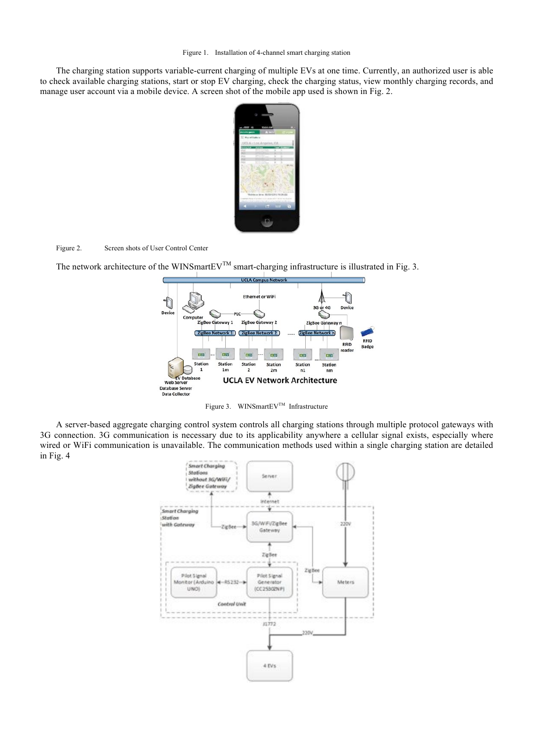The charging station supports variable-current charging of multiple EVs at one time. Currently, an authorized user is able to check available charging stations, start or stop EV charging, check the charging status, view monthly charging records, and manage user account via a mobile device. A screen shot of the mobile app used is shown in Fig. 2.



## Figure 2. Screen shots of User Control Center

The network architecture of the WINSmartEV<sup>TM</sup> smart-charging infrastructure is illustrated in Fig. 3.



Figure 3. WINSmartEV<sup>TM</sup> Infrastructure

A server-based aggregate charging control system controls all charging stations through multiple protocol gateways with 3G connection. 3G communication is necessary due to its applicability anywhere a cellular signal exists, especially where wired or WiFi communication is unavailable. The communication methods used within a single charging station are detailed in Fig. 4

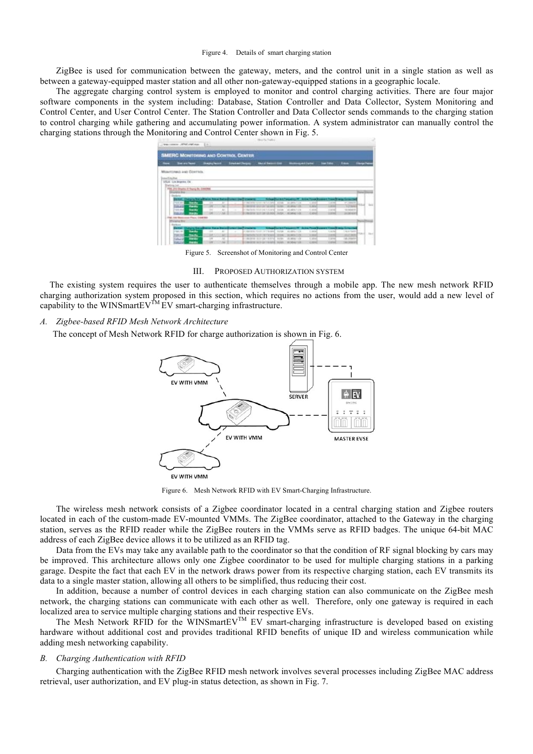ZigBee is used for communication between the gateway, meters, and the control unit in a single station as well as between a gateway-equipped master station and all other non-gateway-equipped stations in a geographic locale.

The aggregate charging control system is employed to monitor and control charging activities. There are four major software components in the system including: Database, Station Controller and Data Collector, System Monitoring and Control Center, and User Control Center. The Station Controller and Data Collector sends commands to the charging station to control charging while gathering and accumulating power information. A system administrator can manually control the charging stations through the Monitoring and Control Center shown in Fig. 5.

| Missistements and Controlls.<br><b><i>International</i></b><br>UGLA - Los despréses did. .<br><b>Shericans</b> Latt<br>PRE 214 Ohams: E Tearra Br, CAROBE<br><b>LEASTER BYE</b><br><b>Distant</b><br><b>British Foundation</b><br>and Property and Construction<br><b>Finded, Changes States Planet, State State</b><br><b>Service Control of Contract Control</b><br><b><i><u>School Course Conserver</u> PT</i></b><br><b>TOTAL</b><br><b>Texture</b><br>$\overline{a}$<br>P-RECREATED FOR THE CARD AT 1979.<br>ALLAND 1.10<br><b>CONTROL</b><br><b>Latin</b><br>an inspector<br>$\sim$<br><b>Taret</b><br>-<br>ment of the light last and<br><b>Station</b><br><b>WE WRITE THE</b><br>TOTAL AVE<br><b>HE</b><br>×<br>--<br><b><i><u>PARADO</u></i></b><br>1976 64-5<br>$\rightarrow$<br>$\frac{1}{2}$<br>C-Reviews have one house and cause.<br><b>San Are</b><br>structure 1, 218<br><b>C. Mind</b><br>GLASS AT AT<br>1974<br>M.<br><b>PERLANA</b><br>m<br>2,892<br><b>ECRESTIA SERVICE DE POL A COA</b><br><b>DOM</b><br><b>Back</b><br><b>LIST SIGHT LYES</b><br>police scars<br>o Phone Lindered<br>M. Mill Ha<br><b>Distance Rev</b><br><b>Barkers</b><br>and Financial<br><b>STATISTICS</b><br><b>UNITED STATES CONTINUES</b><br><b>John Power</b><br>the boundary was played been be-<br>CONSULTED STREET AND COMPANY<br><b>CANTING</b><br><b>Bandle</b><br>$-14$<br><b>SAN</b><br><b>CALL AND</b><br>$\sim$<br>To Mark<br>$\sim$<br><b>ASSESSED</b><br><b>Back</b><br><b>STAR</b><br>×<br><b>STATE</b><br>The second to a state state of the<br><b>WARRANTE</b><br><b>CALL CALL</b><br><b>STATISTICS</b><br>--<br><b>Tardo</b><br>CONSIDER TEST OR FINISHED, MICRO<br>14 month<br>120.10<br>$\mathbb{R}^n$<br>×<br>US AREA 1.758<br><b>CIRVE</b><br>1.914<br>÷ | <b>Base</b> | <b>But an fame</b> | <b>Baggleron</b> | <b><i><u>Seated (Sequestion)</u></i></b> | <b>Should Seriesville Bad</b> | <b>Working Ad Sales</b> | <b>Ing Time:</b> | $\overline{a}$ | <b><i><u>Singaller</u></i></b>     |
|---------------------------------------------------------------------------------------------------------------------------------------------------------------------------------------------------------------------------------------------------------------------------------------------------------------------------------------------------------------------------------------------------------------------------------------------------------------------------------------------------------------------------------------------------------------------------------------------------------------------------------------------------------------------------------------------------------------------------------------------------------------------------------------------------------------------------------------------------------------------------------------------------------------------------------------------------------------------------------------------------------------------------------------------------------------------------------------------------------------------------------------------------------------------------------------------------------------------------------------------------------------------------------------------------------------------------------------------------------------------------------------------------------------------------------------------------------------------------------------------------------------------------------------------------------------------------------------------------------------------------------------------------------------------------------------------------------------------------------------------------------------------------|-------------|--------------------|------------------|------------------------------------------|-------------------------------|-------------------------|------------------|----------------|------------------------------------|
|                                                                                                                                                                                                                                                                                                                                                                                                                                                                                                                                                                                                                                                                                                                                                                                                                                                                                                                                                                                                                                                                                                                                                                                                                                                                                                                                                                                                                                                                                                                                                                                                                                                                                                                                                                           |             |                    |                  |                                          |                               |                         |                  |                |                                    |
|                                                                                                                                                                                                                                                                                                                                                                                                                                                                                                                                                                                                                                                                                                                                                                                                                                                                                                                                                                                                                                                                                                                                                                                                                                                                                                                                                                                                                                                                                                                                                                                                                                                                                                                                                                           |             |                    |                  |                                          |                               |                         |                  |                |                                    |
|                                                                                                                                                                                                                                                                                                                                                                                                                                                                                                                                                                                                                                                                                                                                                                                                                                                                                                                                                                                                                                                                                                                                                                                                                                                                                                                                                                                                                                                                                                                                                                                                                                                                                                                                                                           |             |                    |                  |                                          |                               |                         |                  |                |                                    |
|                                                                                                                                                                                                                                                                                                                                                                                                                                                                                                                                                                                                                                                                                                                                                                                                                                                                                                                                                                                                                                                                                                                                                                                                                                                                                                                                                                                                                                                                                                                                                                                                                                                                                                                                                                           |             |                    |                  |                                          |                               |                         |                  |                |                                    |
|                                                                                                                                                                                                                                                                                                                                                                                                                                                                                                                                                                                                                                                                                                                                                                                                                                                                                                                                                                                                                                                                                                                                                                                                                                                                                                                                                                                                                                                                                                                                                                                                                                                                                                                                                                           |             |                    |                  |                                          |                               |                         |                  |                |                                    |
|                                                                                                                                                                                                                                                                                                                                                                                                                                                                                                                                                                                                                                                                                                                                                                                                                                                                                                                                                                                                                                                                                                                                                                                                                                                                                                                                                                                                                                                                                                                                                                                                                                                                                                                                                                           |             |                    |                  |                                          |                               |                         |                  |                | <b><i><u>Photo Element</u></i></b> |
|                                                                                                                                                                                                                                                                                                                                                                                                                                                                                                                                                                                                                                                                                                                                                                                                                                                                                                                                                                                                                                                                                                                                                                                                                                                                                                                                                                                                                                                                                                                                                                                                                                                                                                                                                                           |             |                    |                  |                                          |                               |                         |                  |                |                                    |
|                                                                                                                                                                                                                                                                                                                                                                                                                                                                                                                                                                                                                                                                                                                                                                                                                                                                                                                                                                                                                                                                                                                                                                                                                                                                                                                                                                                                                                                                                                                                                                                                                                                                                                                                                                           |             |                    |                  |                                          |                               |                         |                  |                |                                    |
|                                                                                                                                                                                                                                                                                                                                                                                                                                                                                                                                                                                                                                                                                                                                                                                                                                                                                                                                                                                                                                                                                                                                                                                                                                                                                                                                                                                                                                                                                                                                                                                                                                                                                                                                                                           |             |                    |                  |                                          |                               |                         |                  |                | <b>HELA</b>                        |
|                                                                                                                                                                                                                                                                                                                                                                                                                                                                                                                                                                                                                                                                                                                                                                                                                                                                                                                                                                                                                                                                                                                                                                                                                                                                                                                                                                                                                                                                                                                                                                                                                                                                                                                                                                           |             |                    |                  |                                          |                               |                         |                  |                |                                    |
|                                                                                                                                                                                                                                                                                                                                                                                                                                                                                                                                                                                                                                                                                                                                                                                                                                                                                                                                                                                                                                                                                                                                                                                                                                                                                                                                                                                                                                                                                                                                                                                                                                                                                                                                                                           |             |                    |                  |                                          |                               |                         |                  |                |                                    |
|                                                                                                                                                                                                                                                                                                                                                                                                                                                                                                                                                                                                                                                                                                                                                                                                                                                                                                                                                                                                                                                                                                                                                                                                                                                                                                                                                                                                                                                                                                                                                                                                                                                                                                                                                                           |             |                    |                  |                                          |                               |                         |                  |                |                                    |
|                                                                                                                                                                                                                                                                                                                                                                                                                                                                                                                                                                                                                                                                                                                                                                                                                                                                                                                                                                                                                                                                                                                                                                                                                                                                                                                                                                                                                                                                                                                                                                                                                                                                                                                                                                           |             |                    |                  |                                          |                               |                         |                  |                |                                    |
|                                                                                                                                                                                                                                                                                                                                                                                                                                                                                                                                                                                                                                                                                                                                                                                                                                                                                                                                                                                                                                                                                                                                                                                                                                                                                                                                                                                                                                                                                                                                                                                                                                                                                                                                                                           |             |                    |                  |                                          |                               |                         |                  |                | <b>Roma Directo</b>                |
|                                                                                                                                                                                                                                                                                                                                                                                                                                                                                                                                                                                                                                                                                                                                                                                                                                                                                                                                                                                                                                                                                                                                                                                                                                                                                                                                                                                                                                                                                                                                                                                                                                                                                                                                                                           |             |                    |                  |                                          |                               |                         |                  |                |                                    |
|                                                                                                                                                                                                                                                                                                                                                                                                                                                                                                                                                                                                                                                                                                                                                                                                                                                                                                                                                                                                                                                                                                                                                                                                                                                                                                                                                                                                                                                                                                                                                                                                                                                                                                                                                                           |             |                    |                  |                                          |                               |                         |                  |                |                                    |
|                                                                                                                                                                                                                                                                                                                                                                                                                                                                                                                                                                                                                                                                                                                                                                                                                                                                                                                                                                                                                                                                                                                                                                                                                                                                                                                                                                                                                                                                                                                                                                                                                                                                                                                                                                           |             |                    |                  |                                          |                               |                         |                  |                |                                    |
|                                                                                                                                                                                                                                                                                                                                                                                                                                                                                                                                                                                                                                                                                                                                                                                                                                                                                                                                                                                                                                                                                                                                                                                                                                                                                                                                                                                                                                                                                                                                                                                                                                                                                                                                                                           |             |                    |                  |                                          |                               |                         |                  |                | mas di                             |
| m<br>$\rightarrow$<br><b>Building</b><br><b>CONSULTANCE OF THE REAL INCOME.</b><br><b>VOID AT</b><br><b>SOLD</b><br><b>IN MALTIN</b><br><b>STATE</b><br>TA LINTERS                                                                                                                                                                                                                                                                                                                                                                                                                                                                                                                                                                                                                                                                                                                                                                                                                                                                                                                                                                                                                                                                                                                                                                                                                                                                                                                                                                                                                                                                                                                                                                                                        |             |                    |                  |                                          |                               |                         |                  |                |                                    |

Figure 5. Screenshot of Monitoring and Control Center

#### III. PROPOSED AUTHORIZATION SYSTEM

The existing system requires the user to authenticate themselves through a mobile app. The new mesh network RFID charging authorization system proposed in this section, which requires no actions from the user, would add a new level of capability to the WINSmartEV<sup>TM</sup> EV smart-charging infrastructure.

# *A. Zigbee-based RFID Mesh Network Architecture*

The concept of Mesh Network RFID for charge authorization is shown in Fig. 6.



Figure 6. Mesh Network RFID with EV Smart-Charging Infrastructure.

The wireless mesh network consists of a Zigbee coordinator located in a central charging station and Zigbee routers located in each of the custom-made EV-mounted VMMs. The ZigBee coordinator, attached to the Gateway in the charging station, serves as the RFID reader while the ZigBee routers in the VMMs serve as RFID badges. The unique 64-bit MAC address of each ZigBee device allows it to be utilized as an RFID tag.

Data from the EVs may take any available path to the coordinator so that the condition of RF signal blocking by cars may be improved. This architecture allows only one Zigbee coordinator to be used for multiple charging stations in a parking garage. Despite the fact that each EV in the network draws power from its respective charging station, each EV transmits its data to a single master station, allowing all others to be simplified, thus reducing their cost.

In addition, because a number of control devices in each charging station can also communicate on the ZigBee mesh network, the charging stations can communicate with each other as well. Therefore, only one gateway is required in each localized area to service multiple charging stations and their respective EVs.

The Mesh Network RFID for the WINSmartEV<sup>TM</sup> EV smart-charging infrastructure is developed based on existing hardware without additional cost and provides traditional RFID benefits of unique ID and wireless communication while adding mesh networking capability.

## *B. Charging Authentication with RFID*

Charging authentication with the ZigBee RFID mesh network involves several processes including ZigBee MAC address retrieval, user authorization, and EV plug-in status detection, as shown in Fig. 7.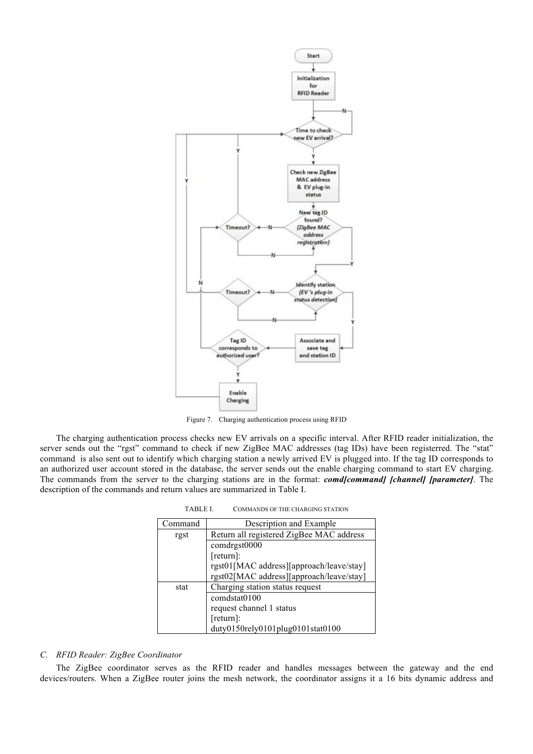

Figure 7. Charging authentication process using RFID

The charging authentication process checks new EV arrivals on a specific interval. After RFID reader initialization, the server sends out the "rgst" command to check if new ZigBee MAC addresses (tag IDs) have been registerred. The "stat" command is also sent out to identify which charging station a newly arrived EV is plugged into. If the tag ID corresponds to an authorized user account stored in the database, the server sends out the enable charging command to start EV charging. The commands from the server to the charging stations are in the format: *comd[command] [channel] [parameter]*. The description of the commands and return values are summarized in Table I.

TABLE I. COMMANDS OF THE CHARGING STATION

| Command | Description and Example                  |
|---------|------------------------------------------|
| rgst    | Return all registered ZigBee MAC address |
|         | comdrgst0000                             |
|         | $[return]$ :                             |
|         | rgst01[MAC address][approach/leave/stay] |
|         | rgst02[MAC address][approach/leave/stay] |
| stat    | Charging station status request          |
|         | comdstat0100                             |
|         | request channel 1 status                 |
|         | $[return]$ :                             |
|         | duty0150rely0101plug0101stat0100         |

#### *C. RFID Reader: ZigBee Coordinator*

The ZigBee coordinator serves as the RFID reader and handles messages between the gateway and the end devices/routers. When a ZigBee router joins the mesh network, the coordinator assigns it a 16 bits dynamic address and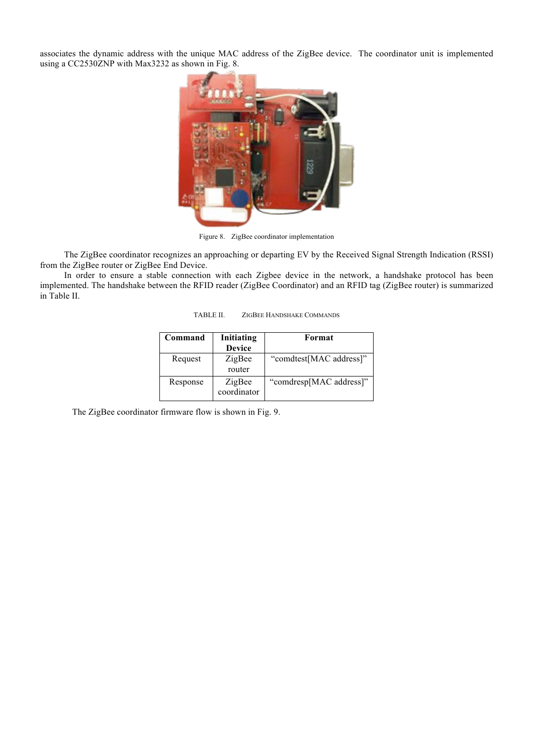associates the dynamic address with the unique MAC address of the ZigBee device. The coordinator unit is implemented using a CC2530ZNP with Max3232 as shown in Fig. 8.



Figure 8. ZigBee coordinator implementation

The ZigBee coordinator recognizes an approaching or departing EV by the Received Signal Strength Indication (RSSI) from the ZigBee router or ZigBee End Device.

In order to ensure a stable connection with each Zigbee device in the network, a handshake protocol has been implemented. The handshake between the RFID reader (ZigBee Coordinator) and an RFID tag (ZigBee router) is summarized in Table II.

| Command  | Initiating<br><b>Device</b> | Format                  |
|----------|-----------------------------|-------------------------|
| Request  | ZigBee<br>router            | "comdtest[MAC address]" |
| Response | ZigBee<br>coordinator       | "comdresp[MAC address]" |

The ZigBee coordinator firmware flow is shown in Fig. 9.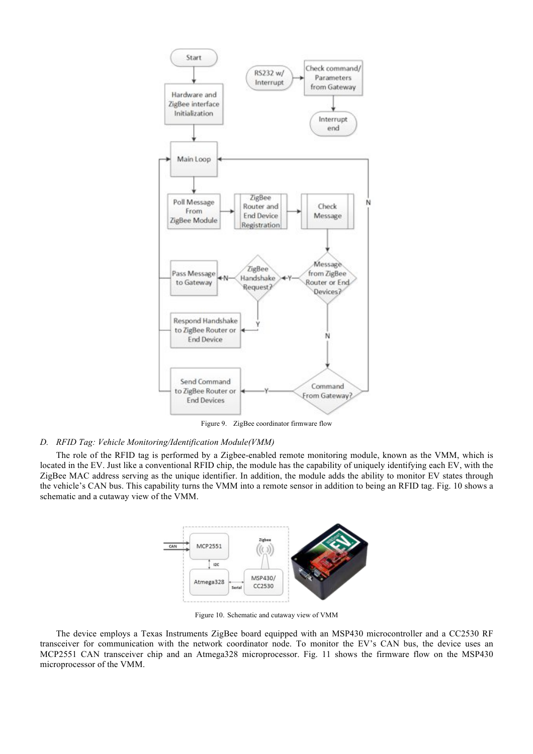

Figure 9. ZigBee coordinator firmware flow

## *D. RFID Tag: Vehicle Monitoring/Identification Module(VMM)*

The role of the RFID tag is performed by a Zigbee-enabled remote monitoring module, known as the VMM, which is located in the EV. Just like a conventional RFID chip, the module has the capability of uniquely identifying each EV, with the ZigBee MAC address serving as the unique identifier. In addition, the module adds the ability to monitor EV states through the vehicle's CAN bus. This capability turns the VMM into a remote sensor in addition to being an RFID tag. Fig. 10 shows a schematic and a cutaway view of the VMM.



Figure 10. Schematic and cutaway view of VMM

The device employs a Texas Instruments ZigBee board equipped with an MSP430 microcontroller and a CC2530 RF transceiver for communication with the network coordinator node. To monitor the EV's CAN bus, the device uses an MCP2551 CAN transceiver chip and an Atmega328 microprocessor. Fig. 11 shows the firmware flow on the MSP430 microprocessor of the VMM.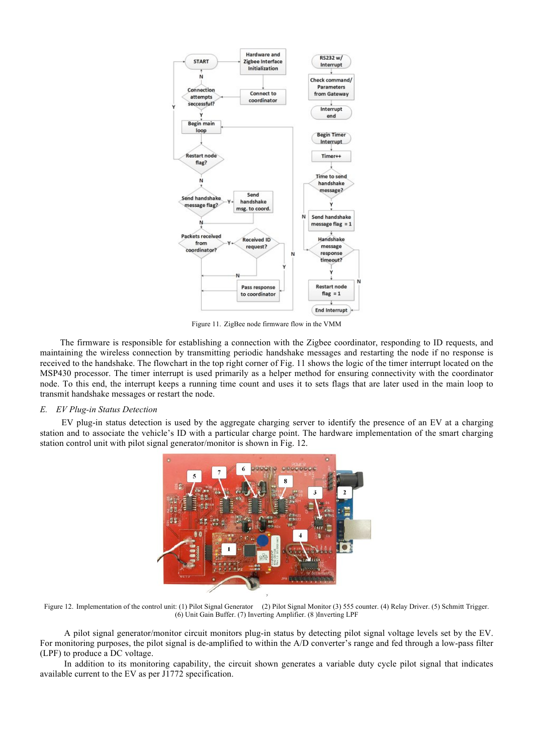

Figure 11. ZigBee node firmware flow in the VMM

The firmware is responsible for establishing a connection with the Zigbee coordinator, responding to ID requests, and maintaining the wireless connection by transmitting periodic handshake messages and restarting the node if no response is received to the handshake. The flowchart in the top right corner of Fig. 11 shows the logic of the timer interrupt located on the MSP430 processor. The timer interrupt is used primarily as a helper method for ensuring connectivity with the coordinator node. To this end, the interrupt keeps a running time count and uses it to sets flags that are later used in the main loop to transmit handshake messages or restart the node.

## *E. EV Plug-in Status Detection*

EV plug-in status detection is used by the aggregate charging server to identify the presence of an EV at a charging station and to associate the vehicle's ID with a particular charge point. The hardware implementation of the smart charging station control unit with pilot signal generator/monitor is shown in Fig. 12.



Figure 12. Implementation of the control unit: (1) Pilot Signal Generator (2) Pilot Signal Monitor (3) 555 counter. (4) Relay Driver. (5) Schmitt Trigger. (6) Unit Gain Buffer. (7) Inverting Amplifier. (8 )Inverting LPF

A pilot signal generator/monitor circuit monitors plug-in status by detecting pilot signal voltage levels set by the EV. For monitoring purposes, the pilot signal is de-amplified to within the A/D converter's range and fed through a low-pass filter (LPF) to produce a DC voltage.

In addition to its monitoring capability, the circuit shown generates a variable duty cycle pilot signal that indicates available current to the EV as per J1772 specification.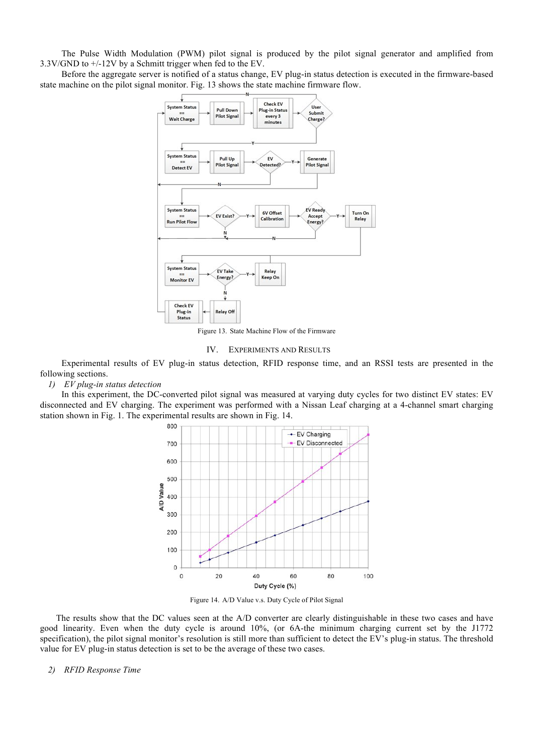The Pulse Width Modulation (PWM) pilot signal is produced by the pilot signal generator and amplified from 3.3V/GND to +/-12V by a Schmitt trigger when fed to the EV.

Before the aggregate server is notified of a status change, EV plug-in status detection is executed in the firmware-based state machine on the pilot signal monitor. Fig. 13 shows the state machine firmware flow.



Figure 13. State Machine Flow of the Firmware

IV. EXPERIMENTS AND RESULTS

Experimental results of EV plug-in status detection, RFID response time, and an RSSI tests are presented in the following sections.

# *1) EV plug-in status detection*

In this experiment, the DC-converted pilot signal was measured at varying duty cycles for two distinct EV states: EV disconnected and EV charging. The experiment was performed with a Nissan Leaf charging at a 4-channel smart charging station shown in Fig. 1. The experimental results are shown in Fig. 14.



Figure 14. A/D Value v.s. Duty Cycle of Pilot Signal

The results show that the DC values seen at the A/D converter are clearly distinguishable in these two cases and have good linearity. Even when the duty cycle is around 10%, (or 6A-the minimum charging current set by the J1772 specification), the pilot signal monitor's resolution is still more than sufficient to detect the EV's plug-in status. The threshold value for EV plug-in status detection is set to be the average of these two cases.

## *2) RFID Response Time*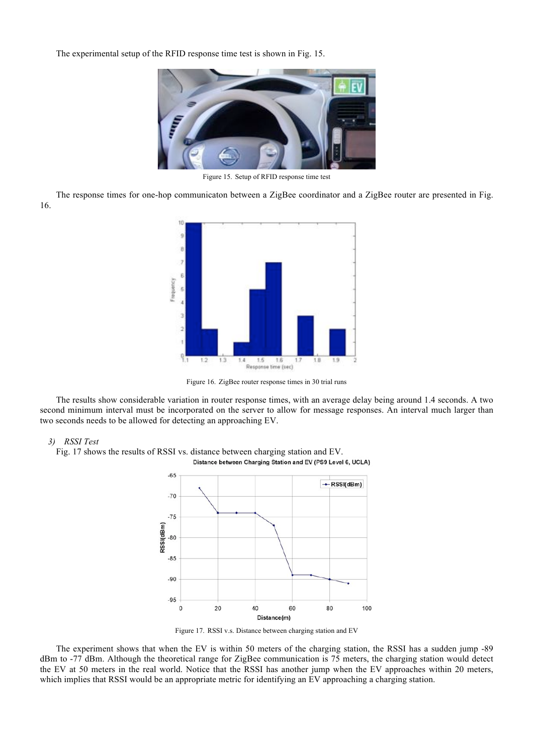The experimental setup of the RFID response time test is shown in Fig. 15.



Figure 15. Setup of RFID response time test

The response times for one-hop communicaton between a ZigBee coordinator and a ZigBee router are presented in Fig. 16.



Figure 16. ZigBee router response times in 30 trial runs

The results show considerable variation in router response times, with an average delay being around 1.4 seconds. A two second minimum interval must be incorporated on the server to allow for message responses. An interval much larger than two seconds needs to be allowed for detecting an approaching EV.

#### *3) RSSI Test*

Fig. 17 shows the results of RSSI vs. distance between charging station and EV. Distance between Charging Station and EV (PS9 Level 6, UCLA)



Figure 17. RSSI v.s. Distance between charging station and EV

The experiment shows that when the EV is within 50 meters of the charging station, the RSSI has a sudden jump -89 dBm to -77 dBm. Although the theoretical range for ZigBee communication is 75 meters, the charging station would detect the EV at 50 meters in the real world. Notice that the RSSI has another jump when the EV approaches within 20 meters, which implies that RSSI would be an appropriate metric for identifying an EV approaching a charging station.